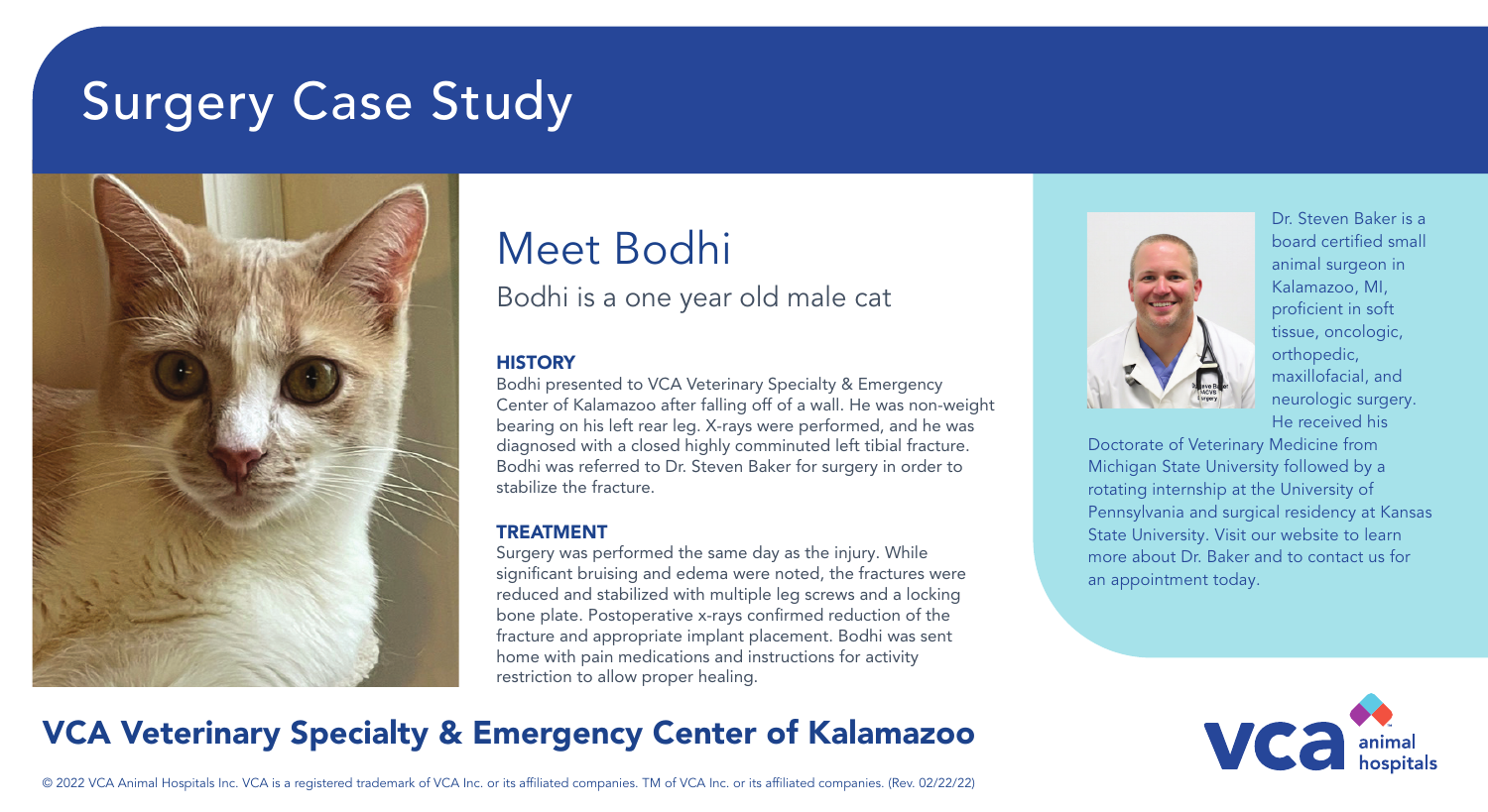# Surgery Case Study



## Meet Bodhi

Bodhi is a one year old male cat

#### **HISTORY**

Bodhi presented to VCA Veterinary Specialty & Emergency Center of Kalamazoo after falling off of a wall. He was non-weight bearing on his left rear leg. X-rays were performed, and he was diagnosed with a closed highly comminuted left tibial fracture. Bodhi was referred to Dr. Steven Baker for surgery in order to stabilize the fracture.

#### TREATMENT

Surgery was performed the same day as the injury. While significant bruising and edema were noted, the fractures were reduced and stabilized with multiple leg screws and a locking bone plate. Postoperative x-rays confirmed reduction of the fracture and appropriate implant placement. Bodhi was sent home with pain medications and instructions for activity restriction to allow proper healing.



Dr. Steven Baker is a board certified small animal surgeon in Kalamazoo, MI, proficient in soft tissue, oncologic, orthopedic, maxillofacial, and neurologic surgery. He received his

Doctorate of Veterinary Medicine from Michigan State University followed by a rotating internship at the University of Pennsylvania and surgical residency at Kansas State University. Visit our website to learn more about Dr. Baker and to contact us for an appointment today.



### VCA Veterinary Specialty & Emergency Center of Kalamazoo